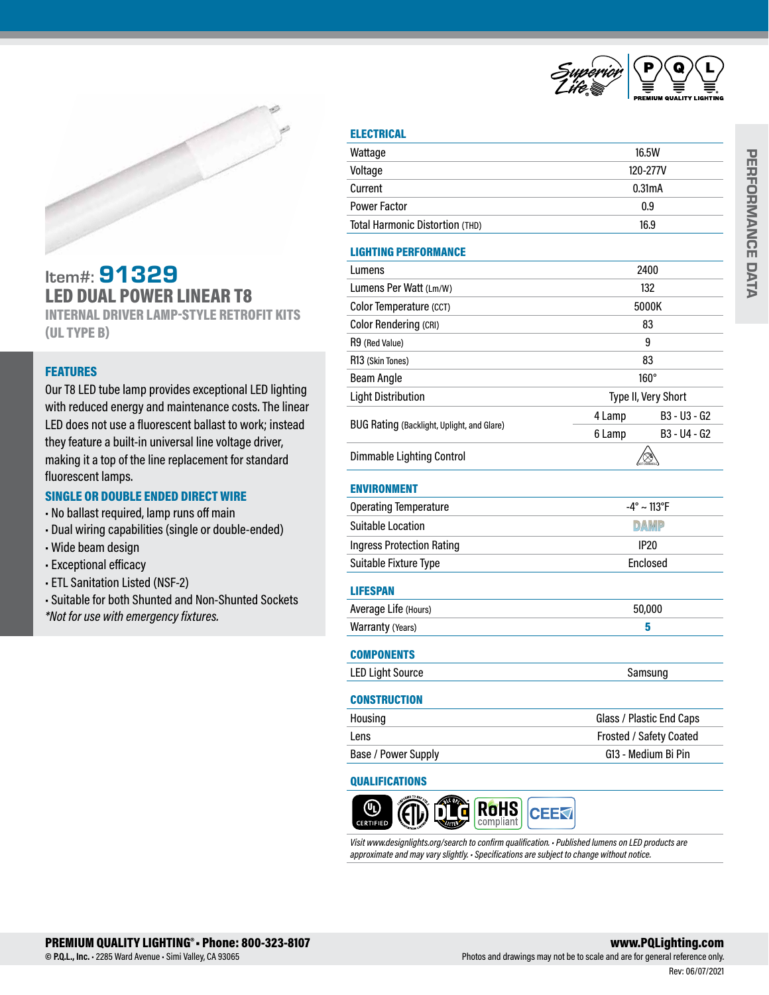

# Item#: 91329 LED DUAL POWER LINEAR T8

INTERNAL DRIVER LAMP-STYLE RETROFIT KITS (UL TYPE B)

# **FEATURES**

Our T8 LED tube lamp provides exceptional LED lighting with reduced energy and maintenance costs. The linear LED does not use a fluorescent ballast to work; instead they feature a built-in universal line voltage driver, making it a top of the line replacement for standard fluorescent lamps.

### SINGLE OR DOUBLE ENDED DIRECT WIRE

- No ballast required, lamp runs off main
- Dual wiring capabilities (single or double-ended)
- Wide beam design
- Exceptional efficacy
- ETL Sanitation Listed (NSF-2)
- Suitable for both Shunted and Non-Shunted Sockets
- *\*Not for use with emergency fixtures.*

| u<br>н<br>r. |   |
|--------------|---|
|              | ٠ |

| Wattage                                    | 16.5W                          |  |  |
|--------------------------------------------|--------------------------------|--|--|
| Voltage                                    | 120-277V                       |  |  |
| Current                                    | 0.31mA                         |  |  |
| <b>Power Factor</b>                        | 0.9                            |  |  |
| Total Harmonic Distortion (THD)            | 16.9                           |  |  |
| <b>LIGHTING PERFORMANCE</b>                |                                |  |  |
| Lumens                                     | 2400                           |  |  |
| Lumens Per Watt (Lm/W)                     | 132                            |  |  |
| Color Temperature (CCT)                    | 5000K                          |  |  |
| <b>Color Rendering (CRI)</b>               | 83                             |  |  |
| R9 (Red Value)                             | 9                              |  |  |
| R13 (Skin Tones)                           | 83                             |  |  |
| <b>Beam Angle</b>                          | $160^\circ$                    |  |  |
| <b>Light Distribution</b>                  | Type II, Very Short            |  |  |
|                                            | 4 Lamp<br>B3 - U3 - G2         |  |  |
| BUG Rating (Backlight, Uplight, and Glare) | B3 - U4 - G2<br>6 Lamp         |  |  |
| <b>Dimmable Lighting Control</b>           |                                |  |  |
| <b>ENVIRONMENT</b>                         |                                |  |  |
| <b>Operating Temperature</b>               | $-4^{\circ} \sim 113^{\circ}F$ |  |  |
| <b>Suitable Location</b>                   | <b>DAMP</b>                    |  |  |
| <b>Ingress Protection Rating</b>           | <b>IP20</b>                    |  |  |
| Suitable Fixture Type                      | Enclosed                       |  |  |
| <b>LIFESPAN</b>                            |                                |  |  |
| Average Life (Hours)                       | 50,000                         |  |  |
| Warranty (Years)                           | 5                              |  |  |
| <b>COMPONENTS</b>                          |                                |  |  |
| <b>LED Light Source</b>                    | Samsung                        |  |  |
| <b>CONSTRUCTION</b>                        |                                |  |  |
| Housing                                    | Glass / Plastic End Caps       |  |  |
| Lens                                       | Frosted / Safety Coated        |  |  |
| Base / Power Supply                        | G13 - Medium Bi Pin            |  |  |
|                                            |                                |  |  |

# QUALIFICATIONS



*Visit www.designlights.org/search to confirm qualification. • Published lumens on LED products are approximate and may vary slightly. • Specifications are subject to change without notice.*